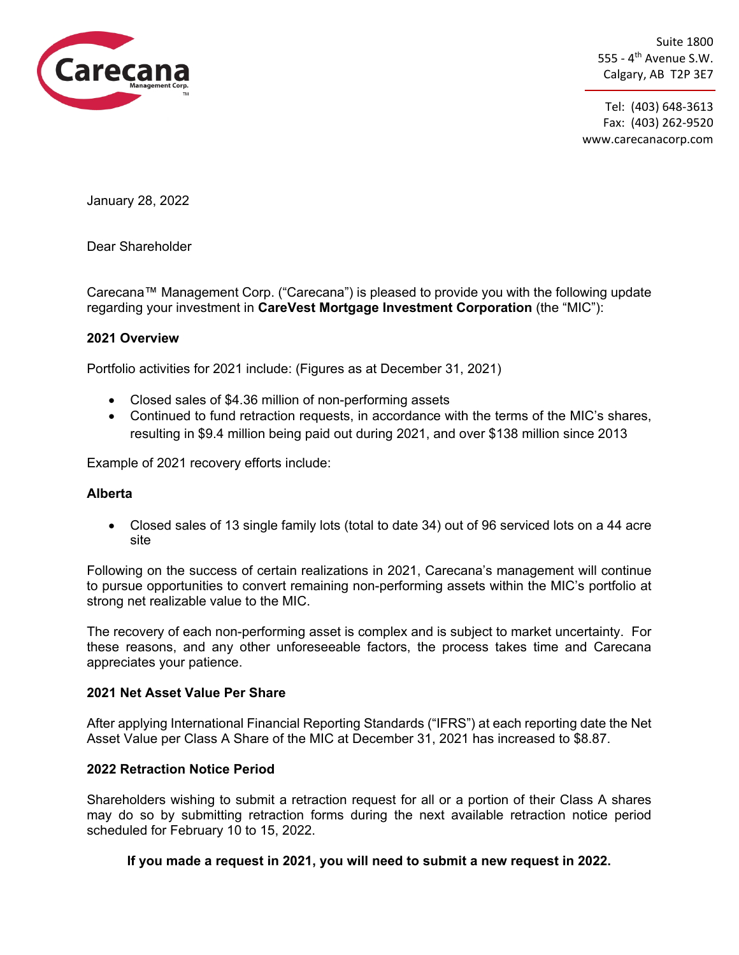

Suite 1800 555 -  $4<sup>th</sup>$  Avenue S.W. Calgary, AB T2P 3E7

Tel: (403) 648-3613 Fax: (403) 262-9520 www.carecanacorp.com

January 28, 2022

Dear Shareholder

Carecana™ Management Corp. ("Carecana") is pleased to provide you with the following update regarding your investment in **CareVest Mortgage Investment Corporation** (the "MIC"):

### **2021 Overview**

Portfolio activities for 2021 include: (Figures as at December 31, 2021)

- Closed sales of \$4.36 million of non-performing assets
- Continued to fund retraction requests, in accordance with the terms of the MIC's shares, resulting in \$9.4 million being paid out during 2021, and over \$138 million since 2013

Example of 2021 recovery efforts include:

### **Alberta**

• Closed sales of 13 single family lots (total to date 34) out of 96 serviced lots on a 44 acre site

Following on the success of certain realizations in 2021, Carecana's management will continue to pursue opportunities to convert remaining non-performing assets within the MIC's portfolio at strong net realizable value to the MIC.

The recovery of each non-performing asset is complex and is subject to market uncertainty. For these reasons, and any other unforeseeable factors, the process takes time and Carecana appreciates your patience.

### **2021 Net Asset Value Per Share**

After applying International Financial Reporting Standards ("IFRS") at each reporting date the Net Asset Value per Class A Share of the MIC at December 31, 2021 has increased to \$8.87.

# **2022 Retraction Notice Period**

Shareholders wishing to submit a retraction request for all or a portion of their Class A shares may do so by submitting retraction forms during the next available retraction notice period scheduled for February 10 to 15, 2022.

# **If you made a request in 2021, you will need to submit a new request in 2022.**